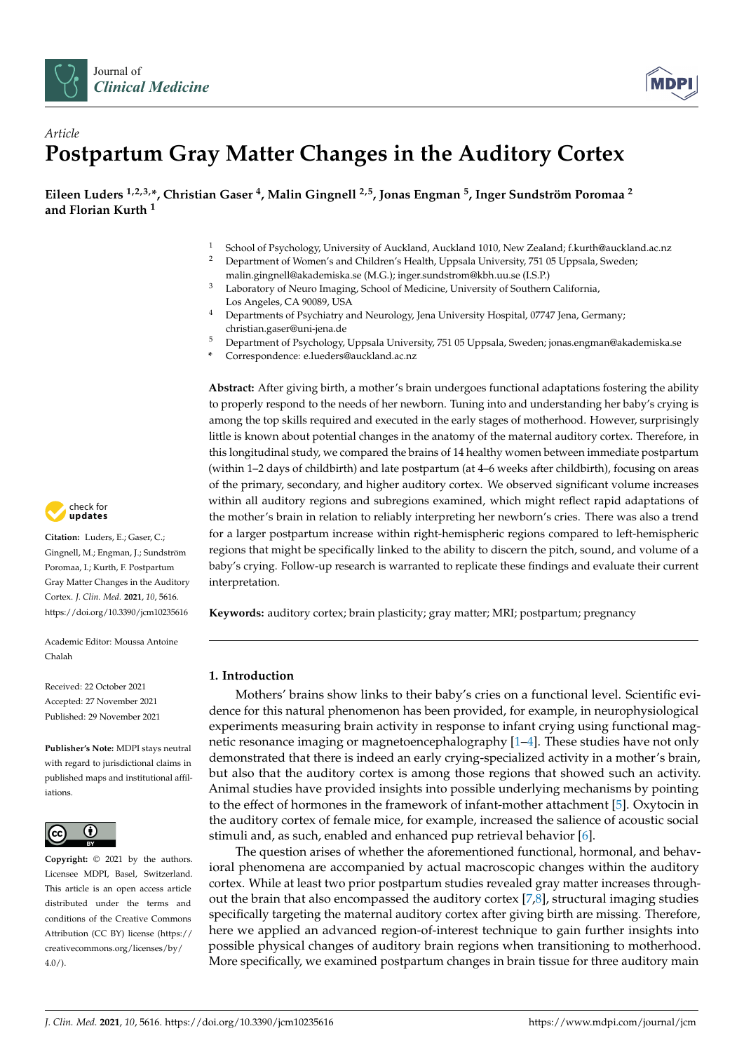



# *Article* **Postpartum Gray Matter Changes in the Auditory Cortex**

**Eileen Luders 1,2,3,\*, Christian Gaser <sup>4</sup> , Malin Gingnell 2,5, Jonas Engman <sup>5</sup> , Inger Sundström Poromaa <sup>2</sup> and Florian Kurth <sup>1</sup>**

- 1 School of Psychology, University of Auckland, Auckland 1010, New Zealand; f.kurth@auckland.ac.nz<br>2 Department of Managine and Children's Haalth, Hanacla Haisemite, 751.05 Hanacla September
- <sup>2</sup> Department of Women's and Children's Health, Uppsala University, 751 05 Uppsala, Sweden; malin.gingnell@akademiska.se (M.G.); inger.sundstrom@kbh.uu.se (I.S.P.)
- Laboratory of Neuro Imaging, School of Medicine, University of Southern California, Los Angeles, CA 90089, USA
- <sup>4</sup> Departments of Psychiatry and Neurology, Jena University Hospital, 07747 Jena, Germany; christian.gaser@uni-jena.de
- <sup>5</sup> Department of Psychology, Uppsala University, 751 05 Uppsala, Sweden; jonas.engman@akademiska.se
	- **\*** Correspondence: e.lueders@auckland.ac.nz

**Abstract:** After giving birth, a mother's brain undergoes functional adaptations fostering the ability to properly respond to the needs of her newborn. Tuning into and understanding her baby's crying is among the top skills required and executed in the early stages of motherhood. However, surprisingly little is known about potential changes in the anatomy of the maternal auditory cortex. Therefore, in this longitudinal study, we compared the brains of 14 healthy women between immediate postpartum (within 1–2 days of childbirth) and late postpartum (at 4–6 weeks after childbirth), focusing on areas of the primary, secondary, and higher auditory cortex. We observed significant volume increases within all auditory regions and subregions examined, which might reflect rapid adaptations of the mother's brain in relation to reliably interpreting her newborn's cries. There was also a trend for a larger postpartum increase within right-hemispheric regions compared to left-hemispheric regions that might be specifically linked to the ability to discern the pitch, sound, and volume of a baby's crying. Follow-up research is warranted to replicate these findings and evaluate their current interpretation.

**Keywords:** auditory cortex; brain plasticity; gray matter; MRI; postpartum; pregnancy

# **1. Introduction**

Mothers' brains show links to their baby's cries on a functional level. Scientific evidence for this natural phenomenon has been provided, for example, in neurophysiological experiments measuring brain activity in response to infant crying using functional magnetic resonance imaging or magnetoencephalography [\[1–](#page-5-0)[4\]](#page-5-1). These studies have not only demonstrated that there is indeed an early crying-specialized activity in a mother's brain, but also that the auditory cortex is among those regions that showed such an activity. Animal studies have provided insights into possible underlying mechanisms by pointing to the effect of hormones in the framework of infant-mother attachment [\[5\]](#page-5-2). Oxytocin in the auditory cortex of female mice, for example, increased the salience of acoustic social stimuli and, as such, enabled and enhanced pup retrieval behavior [\[6\]](#page-5-3).

The question arises of whether the aforementioned functional, hormonal, and behavioral phenomena are accompanied by actual macroscopic changes within the auditory cortex. While at least two prior postpartum studies revealed gray matter increases throughout the brain that also encompassed the auditory cortex  $[7,8]$  $[7,8]$ , structural imaging studies specifically targeting the maternal auditory cortex after giving birth are missing. Therefore, here we applied an advanced region-of-interest technique to gain further insights into possible physical changes of auditory brain regions when transitioning to motherhood. More specifically, we examined postpartum changes in brain tissue for three auditory main



**Citation:** Luders, E.; Gaser, C.; Gingnell, M.; Engman, J.; Sundström Poromaa, I.; Kurth, F. Postpartum Gray Matter Changes in the Auditory Cortex. *J. Clin. Med.* **2021**, *10*, 5616. <https://doi.org/10.3390/jcm10235616>

Academic Editor: Moussa Antoine Chalah

Received: 22 October 2021 Accepted: 27 November 2021 Published: 29 November 2021

**Publisher's Note:** MDPI stays neutral with regard to jurisdictional claims in published maps and institutional affiliations.



**Copyright:** © 2021 by the authors. Licensee MDPI, Basel, Switzerland. This article is an open access article distributed under the terms and conditions of the Creative Commons Attribution (CC BY) license (https:/[/](https://creativecommons.org/licenses/by/4.0/) [creativecommons.org/licenses/by/](https://creativecommons.org/licenses/by/4.0/)  $4.0/$ ).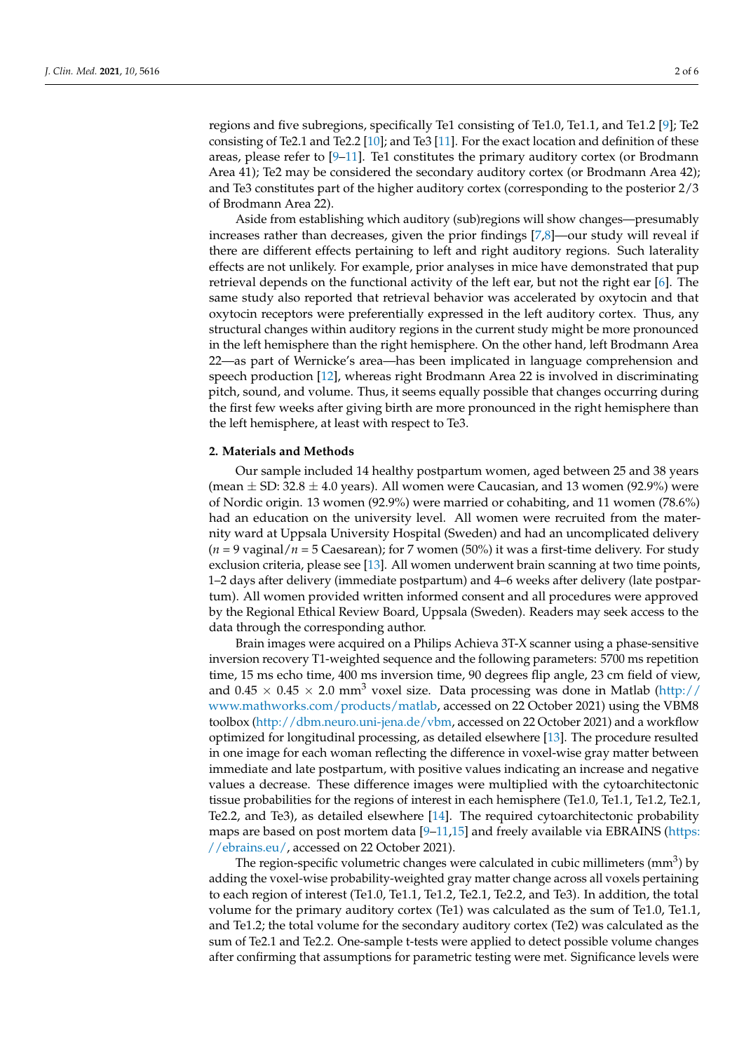regions and five subregions, specifically Te1 consisting of Te1.0, Te1.1, and Te1.2 [\[9\]](#page-5-6); Te2 consisting of Te2.1 and Te2.2 [\[10\]](#page-5-7); and Te3 [\[11\]](#page-5-8). For the exact location and definition of these areas, please refer to  $[9-11]$  $[9-11]$ . Te1 constitutes the primary auditory cortex (or Brodmann Area 41); Te2 may be considered the secondary auditory cortex (or Brodmann Area 42); and Te3 constitutes part of the higher auditory cortex (corresponding to the posterior 2/3 of Brodmann Area 22).

Aside from establishing which auditory (sub)regions will show changes—presumably increases rather than decreases, given the prior findings [\[7](#page-5-4)[,8\]](#page-5-5)—our study will reveal if there are different effects pertaining to left and right auditory regions. Such laterality effects are not unlikely. For example, prior analyses in mice have demonstrated that pup retrieval depends on the functional activity of the left ear, but not the right ear [\[6\]](#page-5-3). The same study also reported that retrieval behavior was accelerated by oxytocin and that oxytocin receptors were preferentially expressed in the left auditory cortex. Thus, any structural changes within auditory regions in the current study might be more pronounced in the left hemisphere than the right hemisphere. On the other hand, left Brodmann Area 22—as part of Wernicke's area—has been implicated in language comprehension and speech production [\[12\]](#page-5-9), whereas right Brodmann Area 22 is involved in discriminating pitch, sound, and volume. Thus, it seems equally possible that changes occurring during the first few weeks after giving birth are more pronounced in the right hemisphere than the left hemisphere, at least with respect to Te3.

#### **2. Materials and Methods**

Our sample included 14 healthy postpartum women, aged between 25 and 38 years (mean  $\pm$  SD: 32.8  $\pm$  4.0 years). All women were Caucasian, and 13 women (92.9%) were of Nordic origin. 13 women (92.9%) were married or cohabiting, and 11 women (78.6%) had an education on the university level. All women were recruited from the maternity ward at Uppsala University Hospital (Sweden) and had an uncomplicated delivery (*n* = 9 vaginal/*n* = 5 Caesarean); for 7 women (50%) it was a first-time delivery. For study exclusion criteria, please see [\[13\]](#page-5-10). All women underwent brain scanning at two time points, 1–2 days after delivery (immediate postpartum) and 4–6 weeks after delivery (late postpartum). All women provided written informed consent and all procedures were approved by the Regional Ethical Review Board, Uppsala (Sweden). Readers may seek access to the data through the corresponding author.

Brain images were acquired on a Philips Achieva 3T-X scanner using a phase-sensitive inversion recovery T1-weighted sequence and the following parameters: 5700 ms repetition time, 15 ms echo time, 400 ms inversion time, 90 degrees flip angle, 23 cm field of view, and  $0.45 \times 0.45 \times 2.0$  mm<sup>3</sup> voxel size. Data processing was done in Matlab [\(http://](http://www.mathworks.com/products/matlab) [www.mathworks.com/products/matlab,](http://www.mathworks.com/products/matlab) accessed on 22 October 2021) using the VBM8 toolbox [\(http://dbm.neuro.uni-jena.de/vbm,](http://dbm.neuro.uni-jena.de/vbm) accessed on 22 October 2021) and a workflow optimized for longitudinal processing, as detailed elsewhere [\[13\]](#page-5-10). The procedure resulted in one image for each woman reflecting the difference in voxel-wise gray matter between immediate and late postpartum, with positive values indicating an increase and negative values a decrease. These difference images were multiplied with the cytoarchitectonic tissue probabilities for the regions of interest in each hemisphere (Te1.0, Te1.1, Te1.2, Te2.1, Te2.2, and Te3), as detailed elsewhere [\[14\]](#page-5-11). The required cytoarchitectonic probability maps are based on post mortem data [\[9](#page-5-6)[–11,](#page-5-8)[15\]](#page-5-12) and freely available via EBRAINS [\(https:](https://ebrains.eu/) [//ebrains.eu/,](https://ebrains.eu/) accessed on 22 October 2021).

The region-specific volumetric changes were calculated in cubic millimeters (mm<sup>3</sup>) by adding the voxel-wise probability-weighted gray matter change across all voxels pertaining to each region of interest (Te1.0, Te1.1, Te1.2, Te2.1, Te2.2, and Te3). In addition, the total volume for the primary auditory cortex (Te1) was calculated as the sum of Te1.0, Te1.1, and Te1.2; the total volume for the secondary auditory cortex (Te2) was calculated as the sum of Te2.1 and Te2.2. One-sample t-tests were applied to detect possible volume changes after confirming that assumptions for parametric testing were met. Significance levels were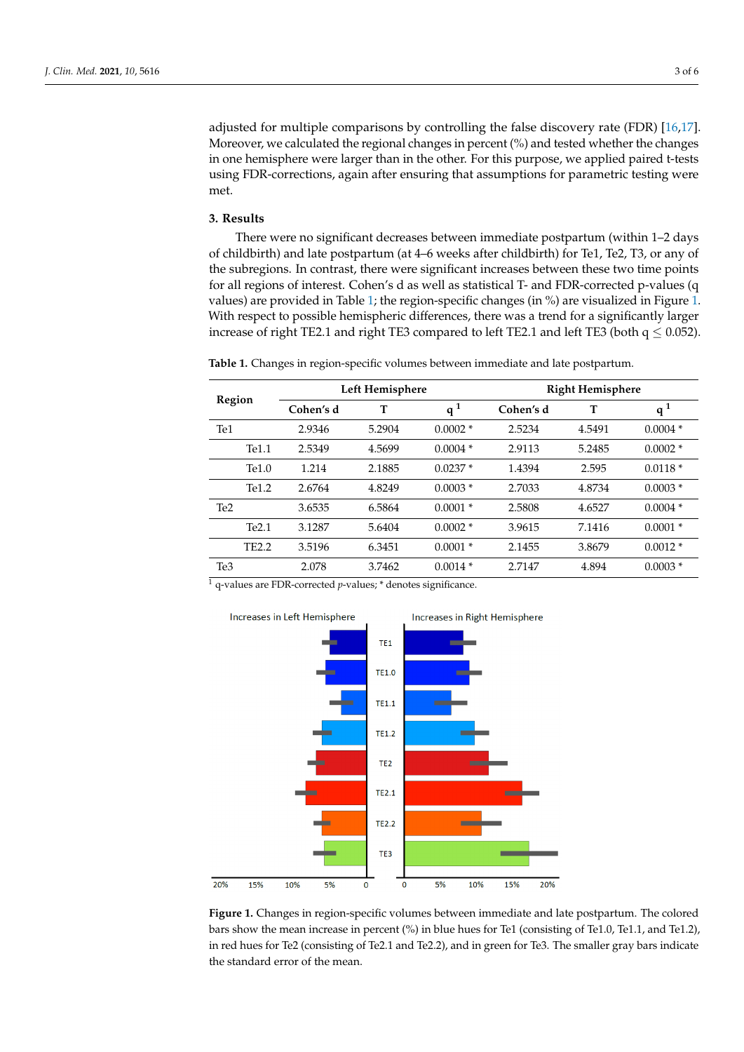adjusted for multiple comparisons by controlling the false discovery rate (FDR) [\[16,](#page-5-13)[17\]](#page-5-14). Moreover, we calculated the regional changes in percent (%) and tested whether the changes in one hemisphere were larger than in the other. For this purpose, we applied paired t-tests using FDR-corrections, again after ensuring that assumptions for parametric testing were met.

#### **3. Results**  $\mathbf{r}_{\mathbf{c}}$ we applied to the tests using FDR-corrections, again after ensuring that assumptions, again after ensuring tha

There were no significant decreases between immediate postpartum (within 1–2 days of childbirth) and late postpartum (at 4–6 weeks after childbirth) for Te1, Te2, T3, or any of the subregions. In contrast, there were significant increases between these two time points **3. Results** 107 for all regions of interest. Cohen's d as well as statistical T- and FDR-corrected p-values (q values) are provided in Table [1;](#page-2-0) the region-specific changes (in %) are visualized in Figure [1.](#page-2-1) The subset of the subset of the subregion opening dialogue (in 10) are subditied in 11 gard 1<br>With respect to possible hemispheric differences, there was a trend for a significantly larger increase of right TE2.1 and right TE3 compared to left TE2.1 and left TE3 (both  $q \leq 0.052$ ). re were no significant decreases between immediate postpartum (within 1–2 day pect to possible fields prietic unterefices, there was a trend for a significantly target

| <b>Region</b>   | Left Hemisphere |        |             | <b>Right Hemisphere</b> |        |                |
|-----------------|-----------------|--------|-------------|-------------------------|--------|----------------|
|                 | Cohen's d       | T      | $\mathbf q$ | Cohen's d               | т      | q <sup>1</sup> |
| Te1             | 2.9346          | 5.2904 | $0.0002*$   | 2.5234                  | 4.5491 | $0.0004*$      |
| Te1.1           | 2.5349          | 4.5699 | $0.0004*$   | 2.9113                  | 5.2485 | $0.0002*$      |
| Te1.0           | 1.214           | 2.1885 | $0.0237*$   | 1.4394                  | 2.595  | $0.0118*$      |
| Te1.2           | 2.6764          | 4.8249 | $0.0003*$   | 2.7033                  | 4.8734 | $0.0003*$      |
| Te <sub>2</sub> | 3.6535          | 6.5864 | $0.0001*$   | 2.5808                  | 4.6527 | $0.0004*$      |
| Te2.1           | 3.1287          | 5.6404 | $0.0002*$   | 3.9615                  | 7.1416 | $0.0001*$      |
| <b>TE2.2</b>    | 3.5196          | 6.3451 | $0.0001*$   | 2.1455                  | 3.8679 | $0.0012*$      |
| Te <sub>3</sub> | 2.078           | 3.7462 | $0.0014*$   | 2.7147                  | 4.894  | $0.0003*$      |

<span id="page-2-0"></span>**Table 1.** Changes in region-specific volumes between immediate and late postpartum.

<span id="page-2-1"></span> $\frac{1}{1}$  q-values are FDR-corrected *p*-values; \* denotes significance.



**Figure 1.** Changes in region-specific volumes between immediate and late postpartum. The colored bars show the mean increase in percent (%) in blue hues for Te1 (consisting of Te1.0, Te1.1, and Te1.2), in red hues for Te2 (consisting of Te2.1 and Te2.2), and in green for Te3. The smaller gray bars indicate the standard error of the mean.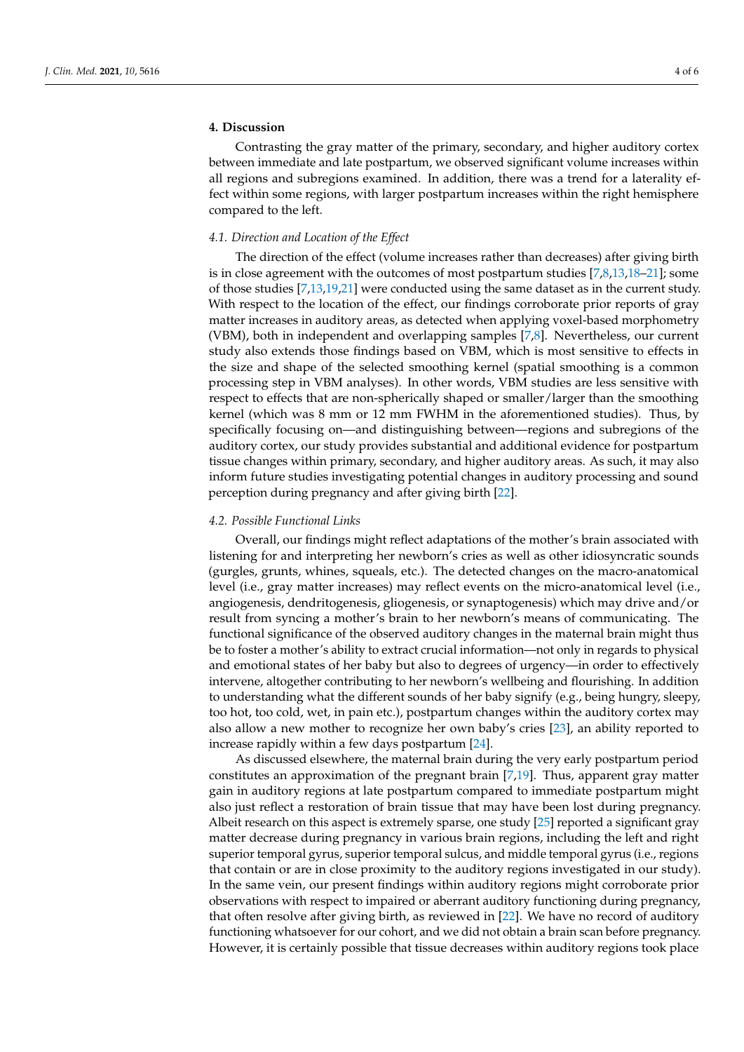# **4. Discussion**

Contrasting the gray matter of the primary, secondary, and higher auditory cortex between immediate and late postpartum, we observed significant volume increases within all regions and subregions examined. In addition, there was a trend for a laterality effect within some regions, with larger postpartum increases within the right hemisphere compared to the left.

# *4.1. Direction and Location of the Effect*

The direction of the effect (volume increases rather than decreases) after giving birth is in close agreement with the outcomes of most postpartum studies [\[7,](#page-5-4)[8](#page-5-5)[,13](#page-5-10)[,18](#page-5-15)[–21\]](#page-5-16); some of those studies [\[7](#page-5-4)[,13,](#page-5-10)[19,](#page-5-17)[21\]](#page-5-16) were conducted using the same dataset as in the current study. With respect to the location of the effect, our findings corroborate prior reports of gray matter increases in auditory areas, as detected when applying voxel-based morphometry (VBM), both in independent and overlapping samples [\[7,](#page-5-4)[8\]](#page-5-5). Nevertheless, our current study also extends those findings based on VBM, which is most sensitive to effects in the size and shape of the selected smoothing kernel (spatial smoothing is a common processing step in VBM analyses). In other words, VBM studies are less sensitive with respect to effects that are non-spherically shaped or smaller/larger than the smoothing kernel (which was 8 mm or 12 mm FWHM in the aforementioned studies). Thus, by specifically focusing on—and distinguishing between—regions and subregions of the auditory cortex, our study provides substantial and additional evidence for postpartum tissue changes within primary, secondary, and higher auditory areas. As such, it may also inform future studies investigating potential changes in auditory processing and sound perception during pregnancy and after giving birth [\[22\]](#page-5-18).

#### *4.2. Possible Functional Links*

Overall, our findings might reflect adaptations of the mother's brain associated with listening for and interpreting her newborn's cries as well as other idiosyncratic sounds (gurgles, grunts, whines, squeals, etc.). The detected changes on the macro-anatomical level (i.e., gray matter increases) may reflect events on the micro-anatomical level (i.e., angiogenesis, dendritogenesis, gliogenesis, or synaptogenesis) which may drive and/or result from syncing a mother's brain to her newborn's means of communicating. The functional significance of the observed auditory changes in the maternal brain might thus be to foster a mother's ability to extract crucial information—not only in regards to physical and emotional states of her baby but also to degrees of urgency—in order to effectively intervene, altogether contributing to her newborn's wellbeing and flourishing. In addition to understanding what the different sounds of her baby signify (e.g., being hungry, sleepy, too hot, too cold, wet, in pain etc.), postpartum changes within the auditory cortex may also allow a new mother to recognize her own baby's cries [\[23\]](#page-5-19), an ability reported to increase rapidly within a few days postpartum [\[24\]](#page-5-20).

As discussed elsewhere, the maternal brain during the very early postpartum period constitutes an approximation of the pregnant brain [\[7,](#page-5-4)[19\]](#page-5-17). Thus, apparent gray matter gain in auditory regions at late postpartum compared to immediate postpartum might also just reflect a restoration of brain tissue that may have been lost during pregnancy. Albeit research on this aspect is extremely sparse, one study [\[25\]](#page-5-21) reported a significant gray matter decrease during pregnancy in various brain regions, including the left and right superior temporal gyrus, superior temporal sulcus, and middle temporal gyrus (i.e., regions that contain or are in close proximity to the auditory regions investigated in our study). In the same vein, our present findings within auditory regions might corroborate prior observations with respect to impaired or aberrant auditory functioning during pregnancy, that often resolve after giving birth, as reviewed in [\[22\]](#page-5-18). We have no record of auditory functioning whatsoever for our cohort, and we did not obtain a brain scan before pregnancy. However, it is certainly possible that tissue decreases within auditory regions took place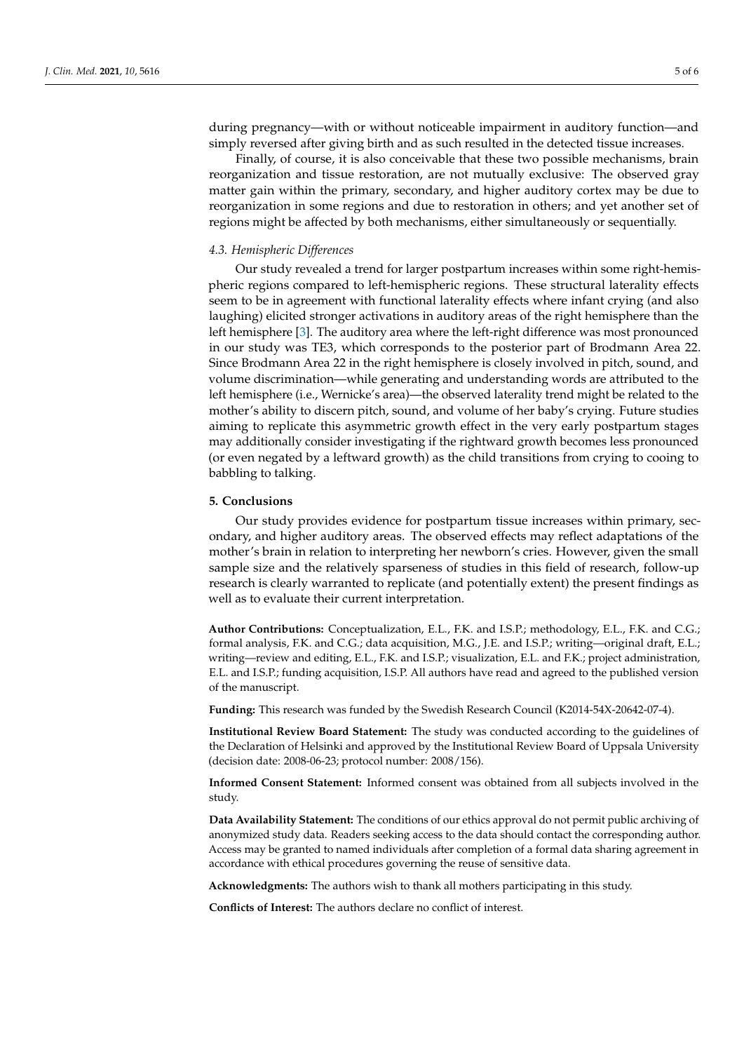during pregnancy—with or without noticeable impairment in auditory function—and simply reversed after giving birth and as such resulted in the detected tissue increases.

Finally, of course, it is also conceivable that these two possible mechanisms, brain reorganization and tissue restoration, are not mutually exclusive: The observed gray matter gain within the primary, secondary, and higher auditory cortex may be due to reorganization in some regions and due to restoration in others; and yet another set of regions might be affected by both mechanisms, either simultaneously or sequentially.

#### *4.3. Hemispheric Differences*

Our study revealed a trend for larger postpartum increases within some right-hemispheric regions compared to left-hemispheric regions. These structural laterality effects seem to be in agreement with functional laterality effects where infant crying (and also laughing) elicited stronger activations in auditory areas of the right hemisphere than the left hemisphere [\[3\]](#page-5-22). The auditory area where the left-right difference was most pronounced in our study was TE3, which corresponds to the posterior part of Brodmann Area 22. Since Brodmann Area 22 in the right hemisphere is closely involved in pitch, sound, and volume discrimination—while generating and understanding words are attributed to the left hemisphere (i.e., Wernicke's area)—the observed laterality trend might be related to the mother's ability to discern pitch, sound, and volume of her baby's crying. Future studies aiming to replicate this asymmetric growth effect in the very early postpartum stages may additionally consider investigating if the rightward growth becomes less pronounced (or even negated by a leftward growth) as the child transitions from crying to cooing to babbling to talking.

### **5. Conclusions**

Our study provides evidence for postpartum tissue increases within primary, secondary, and higher auditory areas. The observed effects may reflect adaptations of the mother's brain in relation to interpreting her newborn's cries. However, given the small sample size and the relatively sparseness of studies in this field of research, follow-up research is clearly warranted to replicate (and potentially extent) the present findings as well as to evaluate their current interpretation.

**Author Contributions:** Conceptualization, E.L., F.K. and I.S.P.; methodology, E.L., F.K. and C.G.; formal analysis, F.K. and C.G.; data acquisition, M.G., J.E. and I.S.P.; writing—original draft, E.L.; writing—review and editing, E.L., F.K. and I.S.P.; visualization, E.L. and F.K.; project administration, E.L. and I.S.P.; funding acquisition, I.S.P. All authors have read and agreed to the published version of the manuscript.

**Funding:** This research was funded by the Swedish Research Council (K2014-54X-20642-07-4).

**Institutional Review Board Statement:** The study was conducted according to the guidelines of the Declaration of Helsinki and approved by the Institutional Review Board of Uppsala University (decision date: 2008-06-23; protocol number: 2008/156).

**Informed Consent Statement:** Informed consent was obtained from all subjects involved in the study.

**Data Availability Statement:** The conditions of our ethics approval do not permit public archiving of anonymized study data. Readers seeking access to the data should contact the corresponding author. Access may be granted to named individuals after completion of a formal data sharing agreement in accordance with ethical procedures governing the reuse of sensitive data.

**Acknowledgments:** The authors wish to thank all mothers participating in this study.

**Conflicts of Interest:** The authors declare no conflict of interest.